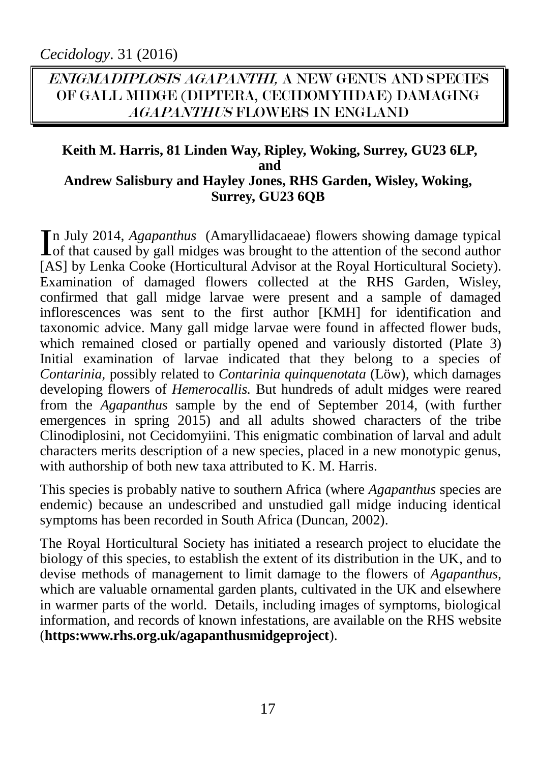## ENIGMADIPLOSIS AGAPANTHI, A NEW GENUS AND SPECIES OF GALL MIDGE (DIPTERA, CECIDOMYIIDAE) DAMAGING AGAPANTHUS FLOWERS IN ENGLAND

#### **Keith M. Harris, 81 Linden Way, Ripley, Woking, Surrey, GU23 6LP, and Andrew Salisbury and Hayley Jones, RHS Garden, Wisley, Woking, Surrey, GU23 6QB**

n July 2014, *Agapanthus* (Amaryllidacaeae) flowers showing damage typical In July 2014, *Agapanthus* (Amaryllidacaeae) flowers showing damage typical of that caused by gall midges was brought to the attention of the second author [AS] by Lenka Cooke (Horticultural Advisor at the Royal Horticultural Society). Examination of damaged flowers collected at the RHS Garden, Wisley, confirmed that gall midge larvae were present and a sample of damaged inflorescences was sent to the first author [KMH] for identification and taxonomic advice. Many gall midge larvae were found in affected flower buds, which remained closed or partially opened and variously distorted (Plate 3) Initial examination of larvae indicated that they belong to a species of *Contarinia,* possibly related to *Contarinia quinquenotata* (Löw)*,* which damages developing flowers of *Hemerocallis.* But hundreds of adult midges were reared from the *Agapanthus* sample by the end of September 2014, (with further emergences in spring 2015) and all adults showed characters of the tribe Clinodiplosini, not Cecidomyiini. This enigmatic combination of larval and adult characters merits description of a new species, placed in a new monotypic genus, with authorship of both new taxa attributed to  $\overline{K}$ . M. Harris.

This species is probably native to southern Africa (where *Agapanthus* species are endemic) because an undescribed and unstudied gall midge inducing identical symptoms has been recorded in South Africa (Duncan, 2002).

The Royal Horticultural Society has initiated a research project to elucidate the biology of this species, to establish the extent of its distribution in the UK, and to devise methods of management to limit damage to the flowers of *Agapanthus,*  which are valuable ornamental garden plants, cultivated in the UK and elsewhere in warmer parts of the world. Details, including images of symptoms, biological information, and records of known infestations, are available on the RHS website (**https:www.rhs.org.uk/agapanthusmidgeproject**).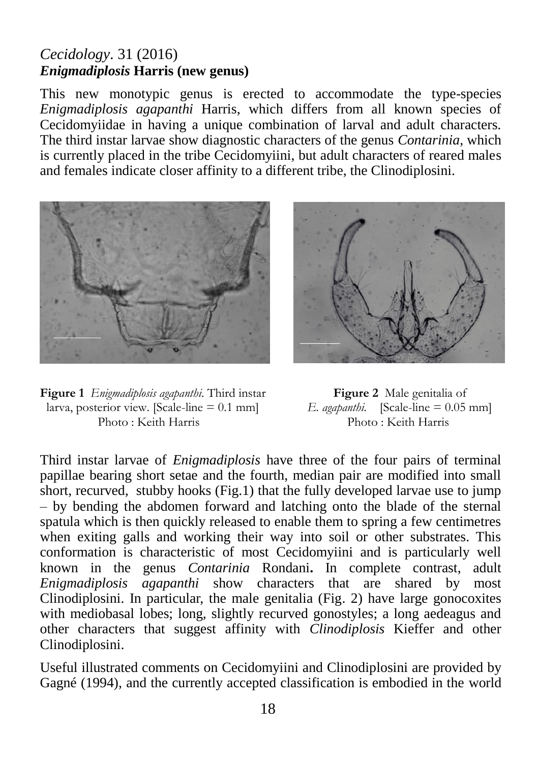### *Cecidology*. 31 (2016) *Enigmadiplosis* **Harris (new genus)**

This new monotypic genus is erected to accommodate the type-species *Enigmadiplosis agapanthi* Harris, which differs from all known species of Cecidomyiidae in having a unique combination of larval and adult characters. The third instar larvae show diagnostic characters of the genus *Contarinia*, which is currently placed in the tribe Cecidomyiini, but adult characters of reared males and females indicate closer affinity to a different tribe, the Clinodiplosini.



**Figure 1** *Enigmadiplosis agapanthi*. Third instar **Figure 2** Male genitalia of larva, posterior view. [Scale-line = 0.1 mm] E. *agapanthi*. [Scale-line = 0.05 mm] larva, posterior view. [Scale-line = 0.1 mm] *E. agapanthi.* [Scale-line = 0.05 mm] Photo : Keith Harris



Third instar larvae of *Enigmadiplosis* have three of the four pairs of terminal papillae bearing short setae and the fourth, median pair are modified into small short, recurved, stubby hooks (Fig.1) that the fully developed larvae use to jump – by bending the abdomen forward and latching onto the blade of the sternal spatula which is then quickly released to enable them to spring a few centimetres when exiting galls and working their way into soil or other substrates. This conformation is characteristic of most Cecidomyiini and is particularly well known in the genus *Contarinia* Rondani**.** In complete contrast, adult *Enigmadiplosis agapanthi* show characters that are shared by most Clinodiplosini. In particular, the male genitalia (Fig. 2) have large gonocoxites with mediobasal lobes; long, slightly recurved gonostyles; a long aedeagus and other characters that suggest affinity with *Clinodiplosis* Kieffer and other Clinodiplosini.

Useful illustrated comments on Cecidomyiini and Clinodiplosini are provided by Gagné (1994), and the currently accepted classification is embodied in the world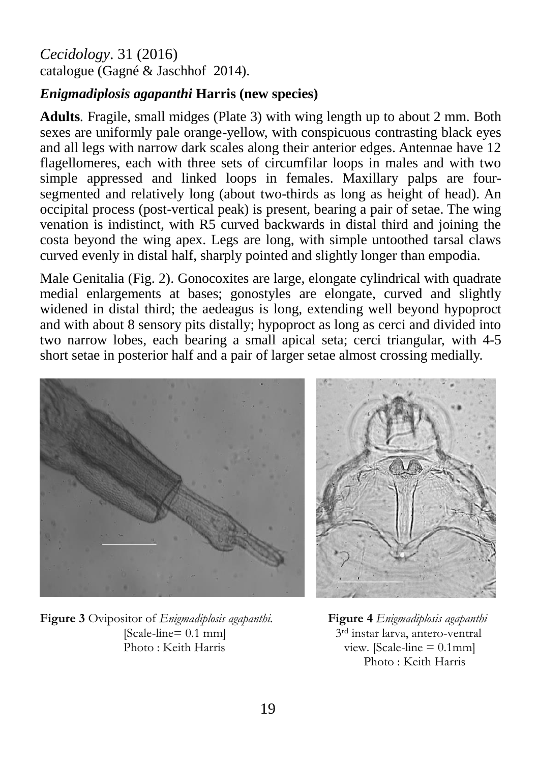### *Cecidology*. 31 (2016) catalogue (Gagné & Jaschhof 2014).

### *Enigmadiplosis agapanthi* **Harris (new species)**

**Adults***.* Fragile, small midges (Plate 3) with wing length up to about 2 mm. Both sexes are uniformly pale orange-yellow, with conspicuous contrasting black eyes and all legs with narrow dark scales along their anterior edges. Antennae have 12 flagellomeres, each with three sets of circumfilar loops in males and with two simple appressed and linked loops in females. Maxillary palps are foursegmented and relatively long (about two-thirds as long as height of head). An occipital process (post-vertical peak) is present, bearing a pair of setae. The wing venation is indistinct, with R5 curved backwards in distal third and joining the costa beyond the wing apex. Legs are long, with simple untoothed tarsal claws curved evenly in distal half, sharply pointed and slightly longer than empodia.

Male Genitalia (Fig. 2). Gonocoxites are large, elongate cylindrical with quadrate medial enlargements at bases; gonostyles are elongate, curved and slightly widened in distal third; the aedeagus is long, extending well beyond hypoproct and with about 8 sensory pits distally; hypoproct as long as cerci and divided into two narrow lobes, each bearing a small apical seta; cerci triangular, with 4-5 short setae in posterior half and a pair of larger setae almost crossing medially.



**Figure 3** Ovipositor of *Enigmadiplosis agapanthi.* **Figure 4** *Enigmadiplosis agapanthi*  $[Scale-line= 0.1 mm]$ Photo : Keith Harris view. [Scale-line = 0.1mm]

3<sup>rd</sup> instar larva, antero-ventral Photo : Keith Harris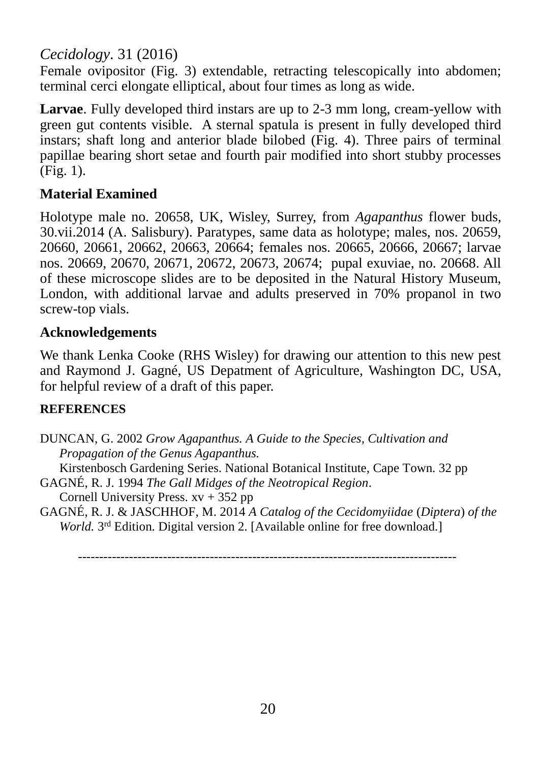# *Cecidology*. 31 (2016)

Female ovipositor (Fig. 3) extendable, retracting telescopically into abdomen; terminal cerci elongate elliptical, about four times as long as wide.

**Larvae**. Fully developed third instars are up to 2-3 mm long, cream-yellow with green gut contents visible. A sternal spatula is present in fully developed third instars; shaft long and anterior blade bilobed (Fig. 4). Three pairs of terminal papillae bearing short setae and fourth pair modified into short stubby processes  $(Fi\mathfrak{g}, 1)$ .

### **Material Examined**

Holotype male no. 20658, UK, Wisley, Surrey, from *Agapanthus* flower buds, 30.vii.2014 (A. Salisbury). Paratypes, same data as holotype; males, nos. 20659, 20660, 20661, 20662, 20663, 20664; females nos. 20665, 20666, 20667; larvae nos. 20669, 20670, 20671, 20672, 20673, 20674; pupal exuviae, no. 20668. All of these microscope slides are to be deposited in the Natural History Museum, London, with additional larvae and adults preserved in 70% propanol in two screw-top vials.

### **Acknowledgements**

We thank Lenka Cooke (RHS Wisley) for drawing our attention to this new pest and Raymond J. Gagné, US Depatment of Agriculture, Washington DC, USA, for helpful review of a draft of this paper.

### **REFERENCES**

DUNCAN, G. 2002 *Grow Agapanthus. A Guide to the Species, Cultivation and Propagation of the Genus Agapanthus.* Kirstenbosch Gardening Series. National Botanical Institute, Cape Town. 32 pp

GAGNÉ, R. J. 1994 *The Gall Midges of the Neotropical Region*.

Cornell University Press.  $xy + 352$  pp

GAGNÉ, R. J. & JASCHHOF, M. 2014 *A Catalog of the Cecidomyiidae* (*Diptera*) *of the World.* 3<sup>rd</sup> Edition. Digital version 2. [Available online for free download.]

-----------------------------------------------------------------------------------------